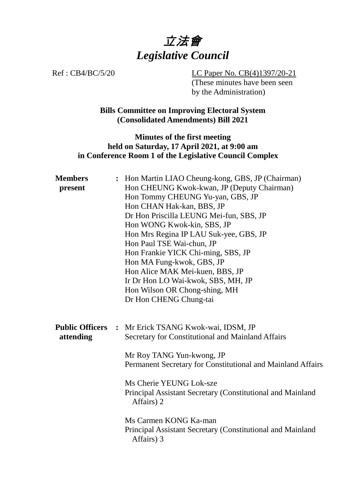

Ref : CB4/BC/5/20 LC Paper No. CB(4)1397/20-21 (These minutes have been seen by the Administration)

> **Bills Committee on Improving Electoral System (Consolidated Amendments) Bill 2021**

## **Minutes of the first meeting held on Saturday, 17 April 2021, at 9:00 am in Conference Room 1 of the Legislative Council Complex**

| <b>Members</b><br>present           | : Hon Martin LIAO Cheung-kong, GBS, JP (Chairman)<br>Hon CHEUNG Kwok-kwan, JP (Deputy Chairman)<br>Hon Tommy CHEUNG Yu-yan, GBS, JP<br>Hon CHAN Hak-kan, BBS, JP<br>Dr Hon Priscilla LEUNG Mei-fun, SBS, JP<br>Hon WONG Kwok-kin, SBS, JP<br>Hon Mrs Regina IP LAU Suk-yee, GBS, JP<br>Hon Paul TSE Wai-chun, JP<br>Hon Frankie YICK Chi-ming, SBS, JP<br>Hon MA Fung-kwok, GBS, JP<br>Hon Alice MAK Mei-kuen, BBS, JP<br>Ir Dr Hon LO Wai-kwok, SBS, MH, JP<br>Hon Wilson OR Chong-shing, MH<br>Dr Hon CHENG Chung-tai |
|-------------------------------------|-------------------------------------------------------------------------------------------------------------------------------------------------------------------------------------------------------------------------------------------------------------------------------------------------------------------------------------------------------------------------------------------------------------------------------------------------------------------------------------------------------------------------|
| <b>Public Officers</b><br>attending | : Mr Erick TSANG Kwok-wai, IDSM, JP<br>Secretary for Constitutional and Mainland Affairs<br>Mr Roy TANG Yun-kwong, JP<br>Permanent Secretary for Constitutional and Mainland Affairs<br>Ms Cherie YEUNG Lok-sze<br>Principal Assistant Secretary (Constitutional and Mainland<br>Affairs) 2<br>Ms Carmen KONG Ka-man<br>Principal Assistant Secretary (Constitutional and Mainland<br>Affairs) 3                                                                                                                        |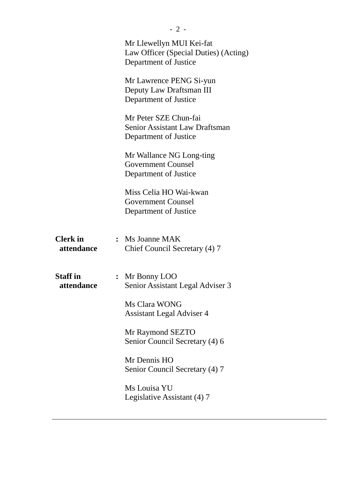|                               | Mr Llewellyn MUI Kei-fat<br>Law Officer (Special Duties) (Acting)<br>Department of Justice |
|-------------------------------|--------------------------------------------------------------------------------------------|
|                               | Mr Lawrence PENG Si-yun<br>Deputy Law Draftsman III<br>Department of Justice               |
|                               | Mr Peter SZE Chun-fai<br><b>Senior Assistant Law Draftsman</b><br>Department of Justice    |
|                               | Mr Wallance NG Long-ting<br><b>Government Counsel</b><br>Department of Justice             |
|                               | Miss Celia HO Wai-kwan<br><b>Government Counsel</b><br>Department of Justice               |
| <b>Clerk</b> in<br>attendance | $:$ Ms Joanne MAK<br>Chief Council Secretary (4) 7                                         |
| <b>Staff in</b><br>attendance | : Mr Bonny LOO<br>Senior Assistant Legal Adviser 3                                         |
|                               | Ms Clara WONG<br><b>Assistant Legal Adviser 4</b>                                          |
|                               | Mr Raymond SEZTO<br>Senior Council Secretary (4) 6                                         |
|                               | Mr Dennis HO<br>Senior Council Secretary (4) 7                                             |
|                               | Ms Louisa YU<br>Legislative Assistant (4) 7                                                |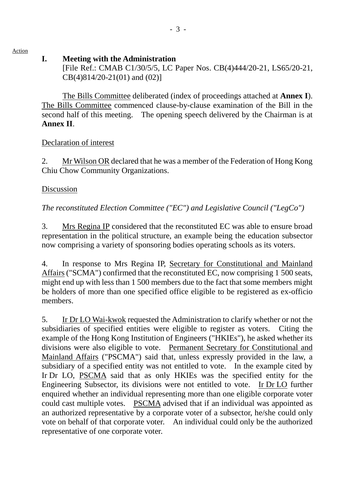Action

## **I. Meeting with the Administration**

[File Ref.: CMAB C1/30/5/5, LC Paper Nos. CB(4)444/20-21, LS65/20-21, CB(4)814/20-21(01) and (02)]

1. The Bills Committee deliberated (index of proceedings attached at **Annex I**). The Bills Committee commenced clause-by-clause examination of the Bill in the second half of this meeting. The opening speech delivered by the Chairman is at **Annex II**.

## Declaration of interest

2. Mr Wilson OR declared that he was a member of the Federation of Hong Kong Chiu Chow Community Organizations.

# Discussion

*The reconstituted Election Committee ("EC") and Legislative Council ("LegCo")*

3. Mrs Regina IP considered that the reconstituted EC was able to ensure broad representation in the political structure, an example being the education subsector now comprising a variety of sponsoring bodies operating schools as its voters.

4. In response to Mrs Regina IP, Secretary for Constitutional and Mainland Affairs ("SCMA") confirmed that the reconstituted EC, now comprising 1 500 seats, might end up with less than 1 500 members due to the fact that some members might be holders of more than one specified office eligible to be registered as ex-officio members.

5. Ir Dr LO Wai-kwok requested the Administration to clarify whether or not the subsidiaries of specified entities were eligible to register as voters. Citing the example of the Hong Kong Institution of Engineers ("HKIEs"), he asked whether its divisions were also eligible to vote. Permanent Secretary for Constitutional and Mainland Affairs ("PSCMA") said that, unless expressly provided in the law, a subsidiary of a specified entity was not entitled to vote. In the example cited by Ir Dr LO, PSCMA said that as only HKIEs was the specified entity for the Engineering Subsector, its divisions were not entitled to vote. Ir Dr LO further enquired whether an individual representing more than one eligible corporate voter could cast multiple votes. PSCMA advised that if an individual was appointed as an authorized representative by a corporate voter of a subsector, he/she could only vote on behalf of that corporate voter. An individual could only be the authorized representative of one corporate voter.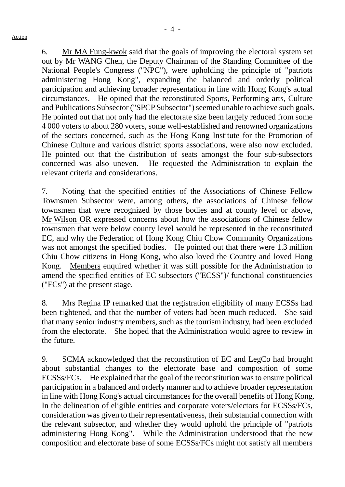- 4 -

6. Mr MA Fung-kwok said that the goals of improving the electoral system set out by Mr WANG Chen, the Deputy Chairman of the Standing Committee of the National People's Congress ("NPC"), were upholding the principle of "patriots administering Hong Kong", expanding the balanced and orderly political participation and achieving broader representation in line with Hong Kong's actual circumstances. He opined that the reconstituted Sports, Performing arts, Culture and Publications Subsector ("SPCP Subsector") seemed unable to achieve such goals. He pointed out that not only had the electorate size been largely reduced from some 4 000 voters to about 280 voters, some well-established and renowned organizations of the sectors concerned, such as the Hong Kong Institute for the Promotion of Chinese Culture and various district sports associations, were also now excluded. He pointed out that the distribution of seats amongst the four sub-subsectors concerned was also uneven. He requested the Administration to explain the relevant criteria and considerations.

7. Noting that the specified entities of the Associations of Chinese Fellow Townsmen Subsector were, among others, the associations of Chinese fellow townsmen that were recognized by those bodies and at county level or above, Mr Wilson OR expressed concerns about how the associations of Chinese fellow townsmen that were below county level would be represented in the reconstituted EC, and why the Federation of Hong Kong Chiu Chow Community Organizations was not amongst the specified bodies. He pointed out that there were 1.3 million Chiu Chow citizens in Hong Kong, who also loved the Country and loved Hong Kong. Members enquired whether it was still possible for the Administration to amend the specified entities of EC subsectors ("ECSS")/ functional constituencies ("FCs") at the present stage.

8. Mrs Regina IP remarked that the registration eligibility of many ECSSs had been tightened, and that the number of voters had been much reduced. She said that many senior industry members, such as the tourism industry, had been excluded from the electorate. She hoped that the Administration would agree to review in the future.

9. SCMA acknowledged that the reconstitution of EC and LegCo had brought about substantial changes to the electorate base and composition of some ECSSs/FCs. He explained that the goal of the reconstitution was to ensure political participation in a balanced and orderly manner and to achieve broader representation in line with Hong Kong's actual circumstances for the overall benefits of Hong Kong. In the delineation of eligible entities and corporate voters/electors for ECSSs/FCs, consideration was given to their representativeness, their substantial connection with the relevant subsector, and whether they would uphold the principle of "patriots administering Hong Kong". While the Administration understood that the new composition and electorate base of some ECSSs/FCs might not satisfy all members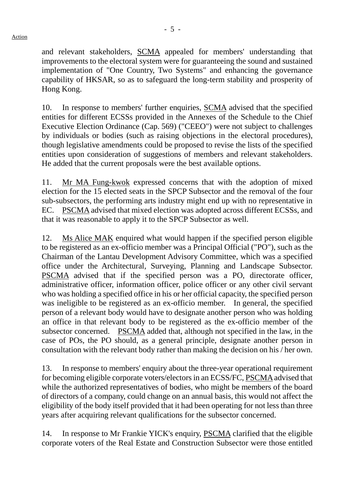and relevant stakeholders, SCMA appealed for members' understanding that improvements to the electoral system were for guaranteeing the sound and sustained implementation of "One Country, Two Systems" and enhancing the governance capability of HKSAR, so as to safeguard the long-term stability and prosperity of Hong Kong.

10. In response to members' further enquiries, SCMA advised that the specified entities for different ECSSs provided in the Annexes of the Schedule to the Chief Executive Election Ordinance (Cap. 569) ("CEEO") were not subject to challenges by individuals or bodies (such as raising objections in the electoral procedures), though legislative amendments could be proposed to revise the lists of the specified entities upon consideration of suggestions of members and relevant stakeholders. He added that the current proposals were the best available options.

11. Mr MA Fung-kwok expressed concerns that with the adoption of mixed election for the 15 elected seats in the SPCP Subsector and the removal of the four sub-subsectors, the performing arts industry might end up with no representative in EC. PSCMA advised that mixed election was adopted across different ECSSs, and that it was reasonable to apply it to the SPCP Subsector as well.

12. Ms Alice MAK enquired what would happen if the specified person eligible to be registered as an ex-officio member was a Principal Official ("PO"), such as the Chairman of the Lantau Development Advisory Committee, which was a specified office under the Architectural, Surveying, Planning and Landscape Subsector. PSCMA advised that if the specified person was a PO, directorate officer, administrative officer, information officer, police officer or any other civil servant who was holding a specified office in his or her official capacity, the specified person was ineligible to be registered as an ex-officio member. In general, the specified person of a relevant body would have to designate another person who was holding an office in that relevant body to be registered as the ex-officio member of the subsector concerned. PSCMA added that, although not specified in the law, in the case of POs, the PO should, as a general principle, designate another person in consultation with the relevant body rather than making the decision on his / her own.

13. In response to members' enquiry about the three-year operational requirement for becoming eligible corporate voters/electors in an ECSS/FC, PSCMA advised that while the authorized representatives of bodies, who might be members of the board of directors of a company, could change on an annual basis, this would not affect the eligibility of the body itself provided that it had been operating for not less than three years after acquiring relevant qualifications for the subsector concerned.

14. In response to Mr Frankie YICK's enquiry, PSCMA clarified that the eligible corporate voters of the Real Estate and Construction Subsector were those entitled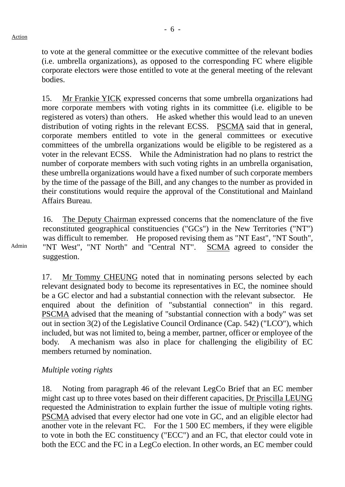to vote at the general committee or the executive committee of the relevant bodies (i.e. umbrella organizations), as opposed to the corresponding FC where eligible corporate electors were those entitled to vote at the general meeting of the relevant bodies.

15. Mr Frankie YICK expressed concerns that some umbrella organizations had more corporate members with voting rights in its committee (i.e. eligible to be registered as voters) than others. He asked whether this would lead to an uneven distribution of voting rights in the relevant ECSS. PSCMA said that in general, corporate members entitled to vote in the general committees or executive committees of the umbrella organizations would be eligible to be registered as a voter in the relevant ECSS. While the Administration had no plans to restrict the number of corporate members with such voting rights in an umbrella organisation, these umbrella organizations would have a fixed number of such corporate members by the time of the passage of the Bill, and any changes to the number as provided in their constitutions would require the approval of the Constitutional and Mainland Affairs Bureau.

16. The Deputy Chairman expressed concerns that the nomenclature of the five reconstituted geographical constituencies ("GCs") in the New Territories ("NT") was difficult to remember. He proposed revising them as "NT East", "NT South", "NT West", "NT North" and "Central NT". SCMA agreed to consider the suggestion.

17. Mr Tommy CHEUNG noted that in nominating persons selected by each relevant designated body to become its representatives in EC, the nominee should be a GC elector and had a substantial connection with the relevant subsector. He enquired about the definition of "substantial connection" in this regard. PSCMA advised that the meaning of "substantial connection with a body" was set out in section 3(2) of the Legislative Council Ordinance (Cap. 542) ("LCO"), which included, but was not limited to, being a member, partner, officer or employee of the body. A mechanism was also in place for challenging the eligibility of EC members returned by nomination.

#### *Multiple voting rights*

18. Noting from paragraph 46 of the relevant LegCo Brief that an EC member might cast up to three votes based on their different capacities, Dr Priscilla LEUNG requested the Administration to explain further the issue of multiple voting rights. PSCMA advised that every elector had one vote in GC, and an eligible elector had another vote in the relevant FC. For the 1 500 EC members, if they were eligible to vote in both the EC constituency ("ECC") and an FC, that elector could vote in both the ECC and the FC in a LegCo election. In other words, an EC member could

Admin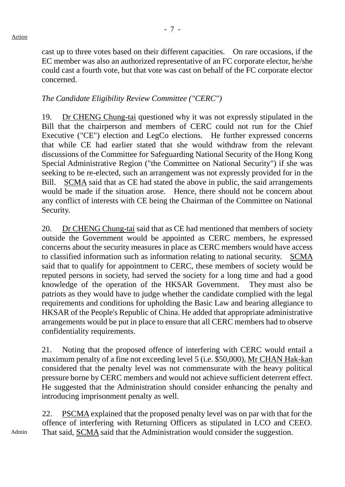cast up to three votes based on their different capacities. On rare occasions, if the EC member was also an authorized representative of an FC corporate elector, he/she could cast a fourth vote, but that vote was cast on behalf of the FC corporate elector concerned.

## *The Candidate Eligibility Review Committee ("CERC")*

19. Dr CHENG Chung-tai questioned why it was not expressly stipulated in the Bill that the chairperson and members of CERC could not run for the Chief Executive ("CE") election and LegCo elections. He further expressed concerns that while CE had earlier stated that she would withdraw from the relevant discussions of the Committee for Safeguarding National Security of the Hong Kong Special Administrative Region ("the Committee on National Security") if she was seeking to be re-elected, such an arrangement was not expressly provided for in the Bill. SCMA said that as CE had stated the above in public, the said arrangements would be made if the situation arose. Hence, there should not be concern about any conflict of interests with CE being the Chairman of the Committee on National Security.

20. Dr CHENG Chung-tai said that as CE had mentioned that members of society outside the Government would be appointed as CERC members, he expressed concerns about the security measures in place as CERC members would have access to classified information such as information relating to national security. SCMA said that to qualify for appointment to CERC, these members of society would be reputed persons in society, had served the society for a long time and had a good knowledge of the operation of the HKSAR Government. They must also be patriots as they would have to judge whether the candidate complied with the legal requirements and conditions for upholding the Basic Law and bearing allegiance to HKSAR of the People's Republic of China. He added that appropriate administrative arrangements would be put in place to ensure that all CERC members had to observe confidentiality requirements.

21. Noting that the proposed offence of interfering with CERC would entail a maximum penalty of a fine not exceeding level 5 (i.e. \$50,000), Mr CHAN Hak-kan considered that the penalty level was not commensurate with the heavy political pressure borne by CERC members and would not achieve sufficient deterrent effect. He suggested that the Administration should consider enhancing the penalty and introducing imprisonment penalty as well.

22. PSCMA explained that the proposed penalty level was on par with that for the offence of interfering with Returning Officers as stipulated in LCO and CEEO. That said, SCMA said that the Administration would consider the suggestion.

Admin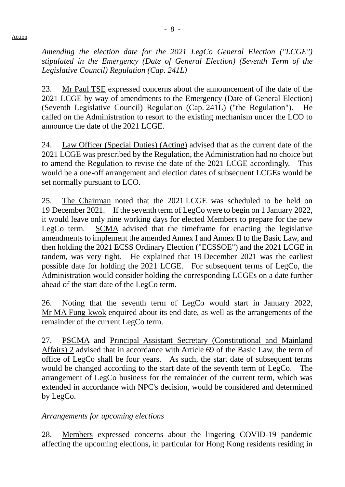*Amending the election date for the 2021 LegCo General Election ("LCGE") stipulated in the Emergency (Date of General Election) (Seventh Term of the Legislative Council) Regulation (Cap. 241L)*

23. Mr Paul TSE expressed concerns about the announcement of the date of the 2021 LCGE by way of amendments to the Emergency (Date of General Election) (Seventh Legislative Council) Regulation (Cap. 241L) ("the Regulation"). He called on the Administration to resort to the existing mechanism under the LCO to announce the date of the 2021 LCGE.

24. Law Officer (Special Duties) (Acting) advised that as the current date of the 2021 LCGE was prescribed by the Regulation, the Administration had no choice but to amend the Regulation to revise the date of the 2021 LCGE accordingly. This would be a one-off arrangement and election dates of subsequent LCGEs would be set normally pursuant to LCO.

25. The Chairman noted that the 2021 LCGE was scheduled to be held on 19 December 2021. If the seventh term of LegCo were to begin on 1 January 2022, it would leave only nine working days for elected Members to prepare for the new LegCo term. SCMA advised that the timeframe for enacting the legislative amendments to implement the amended Annex I and Annex II to the Basic Law, and then holding the 2021 ECSS Ordinary Election ("ECSSOE") and the 2021 LCGE in tandem, was very tight. He explained that 19 December 2021 was the earliest possible date for holding the 2021 LCGE. For subsequent terms of LegCo, the Administration would consider holding the corresponding LCGEs on a date further ahead of the start date of the LegCo term.

26. Noting that the seventh term of LegCo would start in January 2022, Mr MA Fung-kwok enquired about its end date, as well as the arrangements of the remainder of the current LegCo term.

27. PSCMA and Principal Assistant Secretary (Constitutional and Mainland Affairs) 2 advised that in accordance with Article 69 of the Basic Law, the term of office of LegCo shall be four years. As such, the start date of subsequent terms would be changed according to the start date of the seventh term of LegCo. The arrangement of LegCo business for the remainder of the current term, which was extended in accordance with NPC's decision, would be considered and determined by LegCo.

## *Arrangements for upcoming elections*

28. Members expressed concerns about the lingering COVID-19 pandemic affecting the upcoming elections, in particular for Hong Kong residents residing in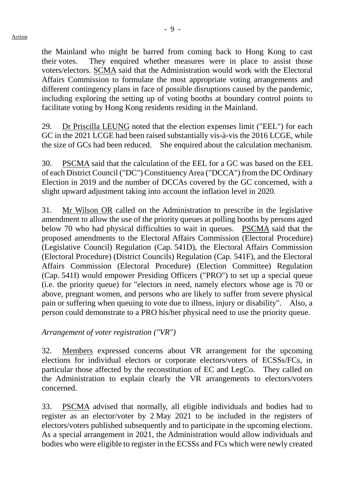- 9 -

the Mainland who might be barred from coming back to Hong Kong to cast their votes. They enquired whether measures were in place to assist those voters/electors. SCMA said that the Administration would work with the Electoral Affairs Commission to formulate the most appropriate voting arrangements and different contingency plans in face of possible disruptions caused by the pandemic, including exploring the setting up of voting booths at boundary control points to facilitate voting by Hong Kong residents residing in the Mainland.

29. Dr Priscilla LEUNG noted that the election expenses limit ("EEL") for each GC in the 2021 LCGE had been raised substantially vis-à-vis the 2016 LCGE, while the size of GCs had been reduced. She enquired about the calculation mechanism.

30. PSCMA said that the calculation of the EEL for a GC was based on the EEL of each District Council ("DC") Constituency Area ("DCCA") from the DC Ordinary Election in 2019 and the number of DCCAs covered by the GC concerned, with a slight upward adjustment taking into account the inflation level in 2020.

31. Mr Wilson OR called on the Administration to prescribe in the legislative amendment to allow the use of the priority queues at polling booths by persons aged below 70 who had physical difficulties to wait in queues. PSCMA said that the proposed amendments to the Electoral Affairs Commission (Electoral Procedure) (Legislative Council) Regulation (Cap. 541D), the Electoral Affairs Commission (Electoral Procedure) (District Councils) Regulation (Cap. 541F), and the Electoral Affairs Commission (Electoral Procedure) (Election Committee) Regulation (Cap. 541I) would empower Presiding Officers ("PRO") to set up a special queue (i.e. the priority queue) for "electors in need, namely electors whose age is 70 or above, pregnant women, and persons who are likely to suffer from severe physical pain or suffering when queuing to vote due to illness, injury or disability". Also, a person could demonstrate to a PRO his/her physical need to use the priority queue.

*Arrangement of voter registration ("VR")*

32. Members expressed concerns about VR arrangement for the upcoming elections for individual electors or corporate electors/voters of ECSSs/FCs, in particular those affected by the reconstitution of EC and LegCo. They called on the Administration to explain clearly the VR arrangements to electors/voters concerned.

33. PSCMA advised that normally, all eligible individuals and bodies had to register as an elector/voter by 2 May 2021 to be included in the registers of electors/voters published subsequently and to participate in the upcoming elections. As a special arrangement in 2021, the Administration would allow individuals and bodies who were eligible to register in the ECSSs and FCs which were newly created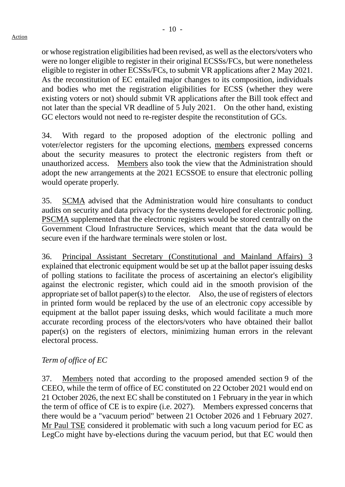or whose registration eligibilities had been revised, as well as the electors/voters who were no longer eligible to register in their original ECSSs/FCs, but were nonetheless eligible to register in other ECSSs/FCs, to submit VR applications after 2 May 2021. As the reconstitution of EC entailed major changes to its composition, individuals and bodies who met the registration eligibilities for ECSS (whether they were existing voters or not) should submit VR applications after the Bill took effect and not later than the special VR deadline of 5 July 2021. On the other hand, existing GC electors would not need to re-register despite the reconstitution of GCs.

34. With regard to the proposed adoption of the electronic polling and voter/elector registers for the upcoming elections, members expressed concerns about the security measures to protect the electronic registers from theft or unauthorized access. Members also took the view that the Administration should adopt the new arrangements at the 2021 ECSSOE to ensure that electronic polling would operate properly.

35. SCMA advised that the Administration would hire consultants to conduct audits on security and data privacy for the systems developed for electronic polling. PSCMA supplemented that the electronic registers would be stored centrally on the Government Cloud Infrastructure Services, which meant that the data would be secure even if the hardware terminals were stolen or lost.

36. Principal Assistant Secretary (Constitutional and Mainland Affairs) 3 explained that electronic equipment would be set up at the ballot paper issuing desks of polling stations to facilitate the process of ascertaining an elector's eligibility against the electronic register, which could aid in the smooth provision of the appropriate set of ballot paper(s) to the elector. Also, the use of registers of electors in printed form would be replaced by the use of an electronic copy accessible by equipment at the ballot paper issuing desks, which would facilitate a much more accurate recording process of the electors/voters who have obtained their ballot paper(s) on the registers of electors, minimizing human errors in the relevant electoral process.

## *Term of office of EC*

37. Members noted that according to the proposed amended section 9 of the CEEO, while the term of office of EC constituted on 22 October 2021 would end on 21 October 2026, the next EC shall be constituted on 1 February in the year in which the term of office of CE is to expire (i.e. 2027). Members expressed concerns that there would be a "vacuum period" between 21 October 2026 and 1 February 2027. Mr Paul TSE considered it problematic with such a long vacuum period for EC as LegCo might have by-elections during the vacuum period, but that EC would then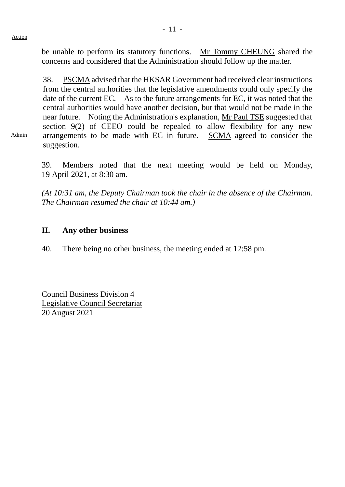Admin

be unable to perform its statutory functions. Mr Tommy CHEUNG shared the concerns and considered that the Administration should follow up the matter.

38. PSCMAadvised that the HKSAR Government had received clear instructions from the central authorities that the legislative amendments could only specify the date of the current EC. As to the future arrangements for EC, it was noted that the central authorities would have another decision, but that would not be made in the near future. Noting the Administration's explanation, Mr Paul TSE suggested that section 9(2) of CEEO could be repealed to allow flexibility for any new arrangements to be made with EC in future. SCMA agreed to consider the suggestion.

39. Members noted that the next meeting would be held on Monday, 19 April 2021, at 8:30 am.

*(At 10:31 am, the Deputy Chairman took the chair in the absence of the Chairman. The Chairman resumed the chair at 10:44 am.)*

## **II. Any other business**

40. There being no other business, the meeting ended at 12:58 pm.

Council Business Division 4 Legislative Council Secretariat 20 August 2021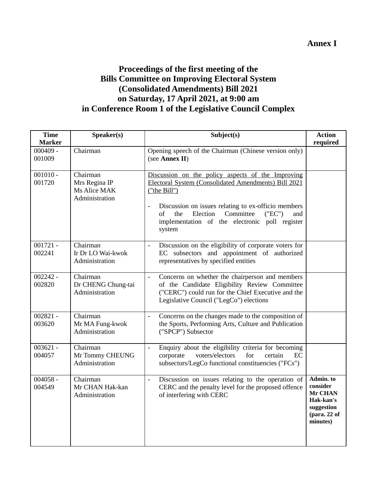## **Annex I**

# **Proceedings of the first meeting of the Bills Committee on Improving Electoral System (Consolidated Amendments) Bill 2021 on Saturday, 17 April 2021, at 9:00 am in Conference Room 1 of the Legislative Council Complex**

| <b>Time</b><br><b>Marker</b> | Speaker(s)                                                  | Subject(s)                                                                                                                                                                                                                                                                                                            | <b>Action</b><br>required                                                                          |
|------------------------------|-------------------------------------------------------------|-----------------------------------------------------------------------------------------------------------------------------------------------------------------------------------------------------------------------------------------------------------------------------------------------------------------------|----------------------------------------------------------------------------------------------------|
| $000409 -$<br>001009         | Chairman                                                    | Opening speech of the Chairman (Chinese version only)<br>(see Annex II)                                                                                                                                                                                                                                               |                                                                                                    |
| $001010 -$<br>001720         | Chairman<br>Mrs Regina IP<br>Ms Alice MAK<br>Administration | Discussion on the policy aspects of the Improving<br>Electoral System (Consolidated Amendments) Bill 2021<br>("the Bill")<br>Discussion on issues relating to ex-officio members<br>$\blacksquare$<br>Election<br>Committee<br>("EC")<br>of<br>the<br>and<br>implementation of the electronic poll register<br>system |                                                                                                    |
| $001721 -$<br>002241         | Chairman<br>Ir Dr LO Wai-kwok<br>Administration             | Discussion on the eligibility of corporate voters for<br>$\overline{\phantom{a}}$<br>EC subsectors and appointment of authorized<br>representatives by specified entities                                                                                                                                             |                                                                                                    |
| $002242 -$<br>002820         | Chairman<br>Dr CHENG Chung-tai<br>Administration            | Concerns on whether the chairperson and members<br>$\frac{1}{2}$<br>of the Candidate Eligibility Review Committee<br>("CERC") could run for the Chief Executive and the<br>Legislative Council ("LegCo") elections                                                                                                    |                                                                                                    |
| $002821 -$<br>003620         | Chairman<br>Mr MA Fung-kwok<br>Administration               | Concerns on the changes made to the composition of<br>$\blacksquare$<br>the Sports, Performing Arts, Culture and Publication<br>("SPCP") Subsector                                                                                                                                                                    |                                                                                                    |
| $003621 -$<br>004057         | Chairman<br>Mr Tommy CHEUNG<br>Administration               | Enquiry about the eligibility criteria for becoming<br>$\overline{\phantom{a}}$<br>corporate<br>voters/electors<br>for<br>certain<br>EC<br>subsectors/LegCo functional constituencies ("FCs")                                                                                                                         |                                                                                                    |
| $004058 -$<br>004549         | Chairman<br>Mr CHAN Hak-kan<br>Administration               | Discussion on issues relating to the operation of<br>$\overline{\phantom{a}}$<br>CERC and the penalty level for the proposed offence<br>of interfering with CERC                                                                                                                                                      | Admin. to<br>consider<br><b>Mr CHAN</b><br>Hak-kan's<br>suggestion<br>$1$ (para. 22 of<br>minutes) |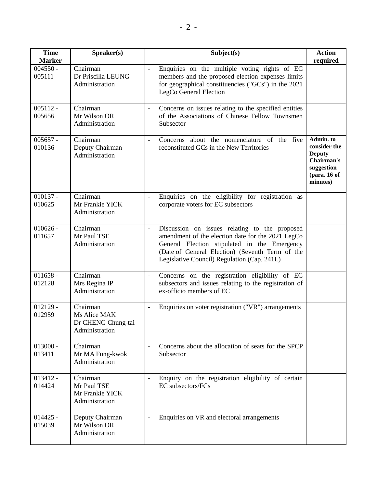| <b>Time</b>                 | Speaker(s)                                                       | Subject(s)                                                                                                                                                                                                                                                            | <b>Action</b>                                                                                      |
|-----------------------------|------------------------------------------------------------------|-----------------------------------------------------------------------------------------------------------------------------------------------------------------------------------------------------------------------------------------------------------------------|----------------------------------------------------------------------------------------------------|
| <b>Marker</b><br>$004550 -$ | Chairman                                                         |                                                                                                                                                                                                                                                                       | required                                                                                           |
| 005111                      | Dr Priscilla LEUNG<br>Administration                             | Enquiries on the multiple voting rights of EC<br>$\overline{\phantom{a}}$<br>members and the proposed election expenses limits<br>for geographical constituencies ("GCs") in the 2021<br>LegCo General Election                                                       |                                                                                                    |
| $005112 -$<br>005656        | Chairman<br>Mr Wilson OR<br>Administration                       | Concerns on issues relating to the specified entities<br>$\overline{\phantom{a}}$<br>of the Associations of Chinese Fellow Townsmen<br>Subsector                                                                                                                      |                                                                                                    |
| $005657 -$<br>010136        | Chairman<br>Deputy Chairman<br>Administration                    | Concerns about the nomenclature of the five<br>$\equiv$<br>reconstituted GCs in the New Territories                                                                                                                                                                   | Admin. to<br>consider the<br><b>Deputy</b><br>Chairman's<br>suggestion<br>(para. 16 of<br>minutes) |
| $010137 -$<br>010625        | Chairman<br>Mr Frankie YICK<br>Administration                    | Enquiries on the eligibility for registration as<br>corporate voters for EC subsectors                                                                                                                                                                                |                                                                                                    |
| $010626 -$<br>011657        | $\overline{C}$ hairman<br>Mr Paul TSE<br>Administration          | Discussion on issues relating to the proposed<br>$\frac{1}{2}$<br>amendment of the election date for the 2021 LegCo<br>General Election stipulated in the Emergency<br>(Date of General Election) (Seventh Term of the<br>Legislative Council) Regulation (Cap. 241L) |                                                                                                    |
| $011658 -$<br>012128        | Chairman<br>Mrs Regina IP<br>Administration                      | Concerns on the registration eligibility of EC<br>$\overline{\phantom{a}}$<br>subsectors and issues relating to the registration of<br>ex-officio members of EC                                                                                                       |                                                                                                    |
| $012129 -$<br>012959        | Chairman<br>Ms Alice MAK<br>Dr CHENG Chung-tai<br>Administration | Enquiries on voter registration ("VR") arrangements<br>$\overline{\phantom{a}}$                                                                                                                                                                                       |                                                                                                    |
| $013000 -$<br>013411        | Chairman<br>Mr MA Fung-kwok<br>Administration                    | Concerns about the allocation of seats for the SPCP<br>$\overline{\phantom{a}}$<br>Subsector                                                                                                                                                                          |                                                                                                    |
| $013412 -$<br>014424        | Chairman<br>Mr Paul TSE<br>Mr Frankie YICK<br>Administration     | Enquiry on the registration eligibility of certain<br>EC subsectors/FCs                                                                                                                                                                                               |                                                                                                    |
| $014425 -$<br>015039        | Deputy Chairman<br>Mr Wilson OR<br>Administration                | Enquiries on VR and electoral arrangements<br>$\overline{\phantom{a}}$                                                                                                                                                                                                |                                                                                                    |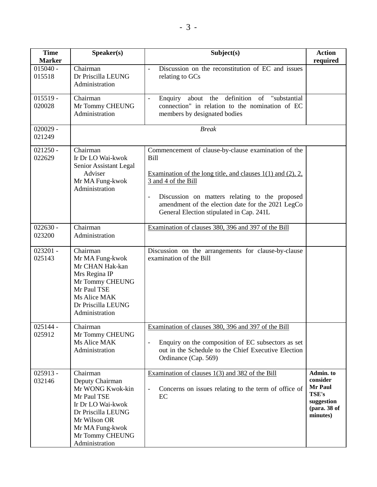| <b>Time</b><br><b>Marker</b> | Speaker(s)                                                                                                                                                                        | Subject(s)                                                                                                                                                                                                                                                                                                                           | <b>Action</b><br>required                                                                  |
|------------------------------|-----------------------------------------------------------------------------------------------------------------------------------------------------------------------------------|--------------------------------------------------------------------------------------------------------------------------------------------------------------------------------------------------------------------------------------------------------------------------------------------------------------------------------------|--------------------------------------------------------------------------------------------|
| $015040 -$<br>015518         | Chairman<br>Dr Priscilla LEUNG<br>Administration                                                                                                                                  | Discussion on the reconstitution of EC and issues<br>$\frac{1}{2}$<br>relating to GCs                                                                                                                                                                                                                                                |                                                                                            |
| $015519 -$<br>020028         | Chairman<br>Mr Tommy CHEUNG<br>Administration                                                                                                                                     | Enquiry about the definition of "substantial<br>$\overline{\phantom{a}}$<br>connection" in relation to the nomination of EC<br>members by designated bodies                                                                                                                                                                          |                                                                                            |
| $020029 -$<br>021249         |                                                                                                                                                                                   | <b>Break</b>                                                                                                                                                                                                                                                                                                                         |                                                                                            |
| $021250 -$<br>022629         | Chairman<br>Ir Dr LO Wai-kwok<br>Senior Assistant Legal<br>Adviser<br>Mr MA Fung-kwok<br>Administration                                                                           | Commencement of clause-by-clause examination of the<br><b>Bill</b><br>Examination of the long title, and clauses $1(1)$ and $(2)$ , $2$ ,<br>3 and 4 of the Bill<br>Discussion on matters relating to the proposed<br>$\frac{1}{2}$<br>amendment of the election date for the 2021 LegCo<br>General Election stipulated in Cap. 241L |                                                                                            |
| $022630 -$<br>023200         | Chairman<br>Administration                                                                                                                                                        | Examination of clauses 380, 396 and 397 of the Bill                                                                                                                                                                                                                                                                                  |                                                                                            |
| $023201 -$<br>025143         | Chairman<br>Mr MA Fung-kwok<br>Mr CHAN Hak-kan<br>Mrs Regina IP<br>Mr Tommy CHEUNG<br>Mr Paul TSE<br>Ms Alice MAK<br>Dr Priscilla LEUNG<br>Administration                         | Discussion on the arrangements for clause-by-clause<br>examination of the Bill                                                                                                                                                                                                                                                       |                                                                                            |
| $025144 -$<br>025912         | Chairman<br>Mr Tommy CHEUNG<br>Ms Alice MAK<br>Administration                                                                                                                     | Examination of clauses 380, 396 and 397 of the Bill<br>Enquiry on the composition of EC subsectors as set<br>$\frac{1}{2}$<br>out in the Schedule to the Chief Executive Election<br>Ordinance (Cap. 569)                                                                                                                            |                                                                                            |
| $025913 -$<br>032146         | Chairman<br>Deputy Chairman<br>Mr WONG Kwok-kin<br>Mr Paul TSE<br>Ir Dr LO Wai-kwok<br>Dr Priscilla LEUNG<br>Mr Wilson OR<br>Mr MA Fung-kwok<br>Mr Tommy CHEUNG<br>Administration | Examination of clauses $1(3)$ and 382 of the Bill<br>Concerns on issues relating to the term of office of<br>$\overline{\phantom{a}}$<br>EC                                                                                                                                                                                          | Admin. to<br>consider<br>Mr Paul<br><b>TSE's</b><br>suggestion<br>(para. 38 of<br>minutes) |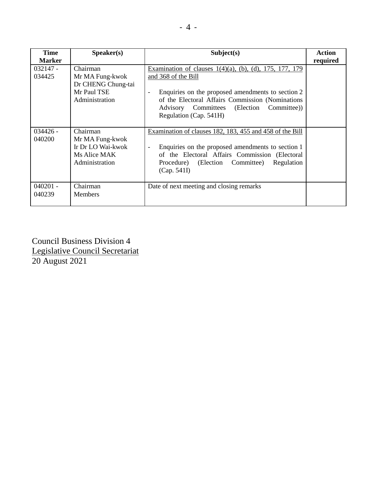| <b>Time</b><br><b>Marker</b> | Speaker(s)                                                                         | Subject(s)                                                                                                                                                                                                                                                                                          | <b>Action</b><br>required |
|------------------------------|------------------------------------------------------------------------------------|-----------------------------------------------------------------------------------------------------------------------------------------------------------------------------------------------------------------------------------------------------------------------------------------------------|---------------------------|
| $032147 -$<br>034425         | Chairman<br>Mr MA Fung-kwok<br>Dr CHENG Chung-tai<br>Mr Paul TSE<br>Administration | Examination of clauses $1(4)(a)$ , (b), (d), 175, 177, 179<br>and 368 of the Bill<br>Enquiries on the proposed amendments to section 2<br>$\overline{\phantom{a}}$<br>of the Electoral Affairs Commission (Nominations<br>Committee)<br>Advisory Committees<br>(Election)<br>Regulation (Cap. 541H) |                           |
| $034426 -$<br>040200         | Chairman<br>Mr MA Fung-kwok<br>Ir Dr LO Wai-kwok<br>Ms Alice MAK<br>Administration | Examination of clauses 182, 183, 455 and 458 of the Bill<br>Enquiries on the proposed amendments to section 1<br>$\overline{\phantom{a}}$<br>of the Electoral Affairs Commission (Electoral<br>Procedure) (Election Committee)<br>Regulation<br>(Cap. 541I)                                         |                           |
| $040201 -$<br>040239         | Chairman<br><b>Members</b>                                                         | Date of next meeting and closing remarks                                                                                                                                                                                                                                                            |                           |

Council Business Division 4 Legislative Council Secretariat 20 August 2021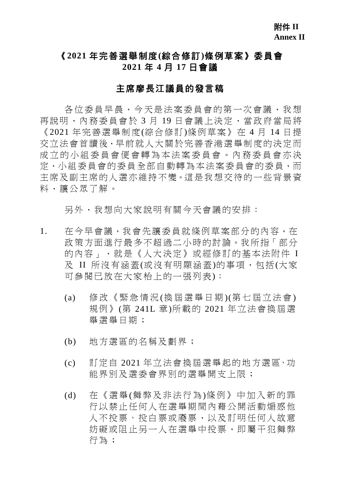# 《**2021** 年完善選舉制度**(**綜合修訂**)**條例草案》委員會 **2021** 年 **4** 月 **17** 日會議

#### 主席廖長江議員的發言稿

各位委員早晨,今天是法案委員會的第一次會議,我想 再說明,內務委員會於 3 月 19 日會議上決定,當政府當局將 《2021 年完善選舉制度(綜合修訂)條例草案》在 4 月 14 日提 交立法會首讀後,早前就人大關於完善香港選舉制度的決定而 成立的小組委員會便會轉為本法案委員會。內務委員會亦決 定,小組委員會的委員全部自動轉為本法案委員會的委員,而 主席及副主席的人選亦維持不變。這是我想交待的一些背景資 料,讓公眾了解。

另外,我想向大家說明有關今天會議的安排:

- 1. 在今早會議,我會先讓委員就條例草案部分的內容,在 政策方面進行最多不超過二小時的討論。我所指「部分 的內容」,就是《人大決定》或經修訂的基本法附件 I 及 II 所沒有涵蓋(或沒有明顯涵蓋)的事項,包括(大家 可參閱已放在大家枱上的一張列表):
	- (a) 修改《緊急情況 (換屆選舉日期 )(第七屆立法會 ) 規例》(第 241L 章)所載的 2021 年立法會換屆選 舉選舉日期;
	- (b) 地方選區的名稱及劃界;
	- (c) 訂定自 2021 年立法會換屆選舉起的地方選區、功 能界別及選委會界別的選舉開支上限;
	- (d) 在《選舉(舞弊及非法行為)條例》中加入新的罪 行以禁止任何人在選舉期間內藉公開活動煽惑他 人不投票、投白票或廢票,以及訂明任何人故意 妨礙或阻止另一人在選舉中投票,即屬干犯舞弊 行為;